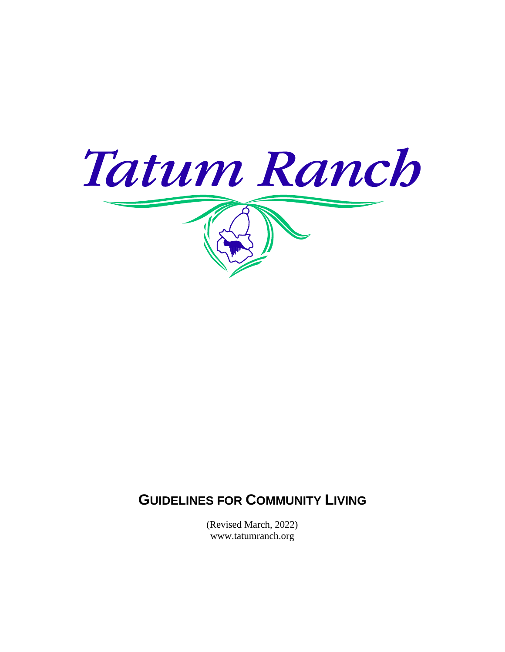

# **GUIDELINES FOR COMMUNITY LIVING**

(Revised March, 2022) www.tatumranch.org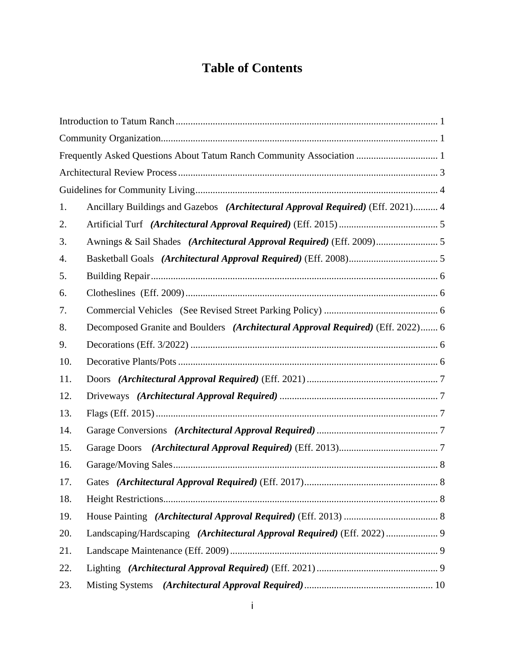# **Table of Contents**

|     | Frequently Asked Questions About Tatum Ranch Community Association  1           |  |
|-----|---------------------------------------------------------------------------------|--|
|     |                                                                                 |  |
|     |                                                                                 |  |
| 1.  | Ancillary Buildings and Gazebos (Architectural Approval Required) (Eff. 2021) 4 |  |
| 2.  |                                                                                 |  |
| 3.  | Awnings & Sail Shades (Architectural Approval Required) (Eff. 2009) 5           |  |
| 4.  |                                                                                 |  |
| 5.  |                                                                                 |  |
| 6.  |                                                                                 |  |
| 7.  |                                                                                 |  |
| 8.  | Decomposed Granite and Boulders (Architectural Approval Required) (Eff. 2022) 6 |  |
| 9.  |                                                                                 |  |
| 10. |                                                                                 |  |
| 11. |                                                                                 |  |
| 12. |                                                                                 |  |
| 13. |                                                                                 |  |
| 14. |                                                                                 |  |
| 15. |                                                                                 |  |
| 16. |                                                                                 |  |
| 17. |                                                                                 |  |
| 18. |                                                                                 |  |
| 19. |                                                                                 |  |
| 20. | Landscaping/Hardscaping (Architectural Approval Required) (Eff. 2022)  9        |  |
| 21. |                                                                                 |  |
| 22. |                                                                                 |  |
| 23. |                                                                                 |  |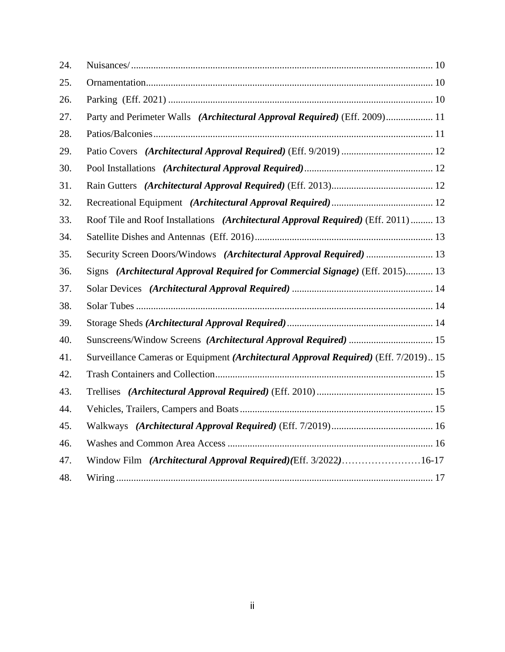| 24. |                                                                                      |  |
|-----|--------------------------------------------------------------------------------------|--|
| 25. |                                                                                      |  |
| 26. |                                                                                      |  |
| 27. | Party and Perimeter Walls (Architectural Approval Required) (Eff. 2009) 11           |  |
| 28. |                                                                                      |  |
| 29. |                                                                                      |  |
| 30. |                                                                                      |  |
| 31. |                                                                                      |  |
| 32. |                                                                                      |  |
| 33. | Roof Tile and Roof Installations (Architectural Approval Required) (Eff. 2011) 13    |  |
| 34. |                                                                                      |  |
| 35. | Security Screen Doors/Windows (Architectural Approval Required)  13                  |  |
| 36. | Signs (Architectural Approval Required for Commercial Signage) (Eff. 2015) 13        |  |
| 37. |                                                                                      |  |
| 38. |                                                                                      |  |
| 39. |                                                                                      |  |
| 40. | Sunscreens/Window Screens (Architectural Approval Required)  15                      |  |
| 41. | Surveillance Cameras or Equipment (Architectural Approval Required) (Eff. 7/2019) 15 |  |
| 42. |                                                                                      |  |
| 43. |                                                                                      |  |
| 44. |                                                                                      |  |
| 45. |                                                                                      |  |
| 46. |                                                                                      |  |
| 47. | Window Film (Architectural Approval Required)(Eff. 3/2022)16-17                      |  |
| 48. |                                                                                      |  |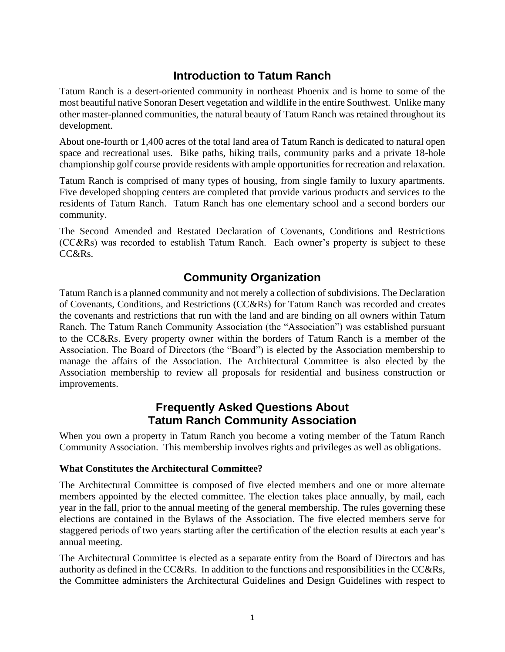## **Introduction to Tatum Ranch**

<span id="page-3-0"></span>Tatum Ranch is a desert-oriented community in northeast Phoenix and is home to some of the most beautiful native Sonoran Desert vegetation and wildlife in the entire Southwest. Unlike many other master-planned communities, the natural beauty of Tatum Ranch was retained throughout its development.

About one-fourth or 1,400 acres of the total land area of Tatum Ranch is dedicated to natural open space and recreational uses. Bike paths, hiking trails, community parks and a private 18-hole championship golf course provide residents with ample opportunities for recreation and relaxation.

Tatum Ranch is comprised of many types of housing, from single family to luxury apartments. Five developed shopping centers are completed that provide various products and services to the residents of Tatum Ranch. Tatum Ranch has one elementary school and a second borders our community.

The Second Amended and Restated Declaration of Covenants, Conditions and Restrictions (CC&Rs) was recorded to establish Tatum Ranch. Each owner's property is subject to these CC&Rs.

## **Community Organization**

<span id="page-3-1"></span>Tatum Ranch is a planned community and not merely a collection of subdivisions. The Declaration of Covenants, Conditions, and Restrictions (CC&Rs) for Tatum Ranch was recorded and creates the covenants and restrictions that run with the land and are binding on all owners within Tatum Ranch. The Tatum Ranch Community Association (the "Association") was established pursuant to the CC&Rs. Every property owner within the borders of Tatum Ranch is a member of the Association. The Board of Directors (the "Board") is elected by the Association membership to manage the affairs of the Association. The Architectural Committee is also elected by the Association membership to review all proposals for residential and business construction or improvements.

## **Frequently Asked Questions About Tatum Ranch Community Association**

<span id="page-3-2"></span>When you own a property in Tatum Ranch you become a voting member of the Tatum Ranch Community Association. This membership involves rights and privileges as well as obligations.

#### **What Constitutes the Architectural Committee?**

The Architectural Committee is composed of five elected members and one or more alternate members appointed by the elected committee. The election takes place annually, by mail, each year in the fall, prior to the annual meeting of the general membership. The rules governing these elections are contained in the Bylaws of the Association. The five elected members serve for staggered periods of two years starting after the certification of the election results at each year's annual meeting.

The Architectural Committee is elected as a separate entity from the Board of Directors and has authority as defined in the CC&Rs. In addition to the functions and responsibilities in the CC&Rs, the Committee administers the Architectural Guidelines and Design Guidelines with respect to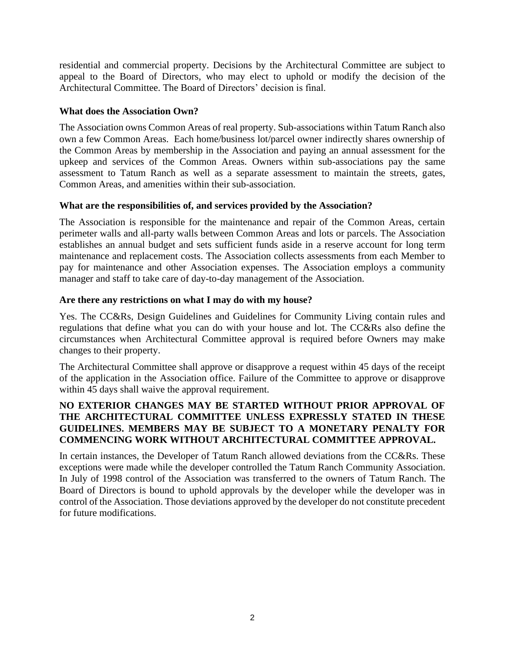residential and commercial property. Decisions by the Architectural Committee are subject to appeal to the Board of Directors, who may elect to uphold or modify the decision of the Architectural Committee. The Board of Directors' decision is final.

#### **What does the Association Own?**

The Association owns Common Areas of real property. Sub-associations within Tatum Ranch also own a few Common Areas. Each home/business lot/parcel owner indirectly shares ownership of the Common Areas by membership in the Association and paying an annual assessment for the upkeep and services of the Common Areas. Owners within sub-associations pay the same assessment to Tatum Ranch as well as a separate assessment to maintain the streets, gates, Common Areas, and amenities within their sub-association.

#### **What are the responsibilities of, and services provided by the Association?**

The Association is responsible for the maintenance and repair of the Common Areas, certain perimeter walls and all-party walls between Common Areas and lots or parcels. The Association establishes an annual budget and sets sufficient funds aside in a reserve account for long term maintenance and replacement costs. The Association collects assessments from each Member to pay for maintenance and other Association expenses. The Association employs a community manager and staff to take care of day-to-day management of the Association.

#### **Are there any restrictions on what I may do with my house?**

Yes. The CC&Rs, Design Guidelines and Guidelines for Community Living contain rules and regulations that define what you can do with your house and lot. The CC&Rs also define the circumstances when Architectural Committee approval is required before Owners may make changes to their property.

The Architectural Committee shall approve or disapprove a request within 45 days of the receipt of the application in the Association office. Failure of the Committee to approve or disapprove within 45 days shall waive the approval requirement.

#### **NO EXTERIOR CHANGES MAY BE STARTED WITHOUT PRIOR APPROVAL OF THE ARCHITECTURAL COMMITTEE UNLESS EXPRESSLY STATED IN THESE GUIDELINES. MEMBERS MAY BE SUBJECT TO A MONETARY PENALTY FOR COMMENCING WORK WITHOUT ARCHITECTURAL COMMITTEE APPROVAL.**

In certain instances, the Developer of Tatum Ranch allowed deviations from the CC&Rs. These exceptions were made while the developer controlled the Tatum Ranch Community Association. In July of 1998 control of the Association was transferred to the owners of Tatum Ranch. The Board of Directors is bound to uphold approvals by the developer while the developer was in control of the Association. Those deviations approved by the developer do not constitute precedent for future modifications.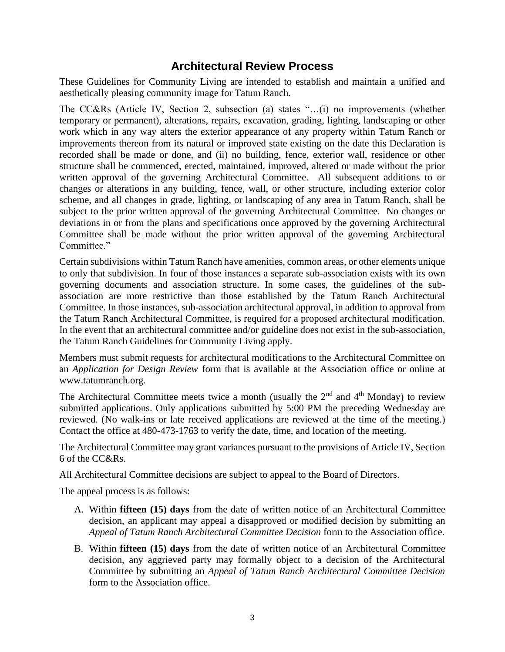## **Architectural Review Process**

<span id="page-5-0"></span>These Guidelines for Community Living are intended to establish and maintain a unified and aesthetically pleasing community image for Tatum Ranch.

The CC&Rs (Article IV, Section 2, subsection (a) states "…(i) no improvements (whether temporary or permanent), alterations, repairs, excavation, grading, lighting, landscaping or other work which in any way alters the exterior appearance of any property within Tatum Ranch or improvements thereon from its natural or improved state existing on the date this Declaration is recorded shall be made or done, and (ii) no building, fence, exterior wall, residence or other structure shall be commenced, erected, maintained, improved, altered or made without the prior written approval of the governing Architectural Committee. All subsequent additions to or changes or alterations in any building, fence, wall, or other structure, including exterior color scheme, and all changes in grade, lighting, or landscaping of any area in Tatum Ranch, shall be subject to the prior written approval of the governing Architectural Committee. No changes or deviations in or from the plans and specifications once approved by the governing Architectural Committee shall be made without the prior written approval of the governing Architectural Committee."

Certain subdivisions within Tatum Ranch have amenities, common areas, or other elements unique to only that subdivision. In four of those instances a separate sub-association exists with its own governing documents and association structure. In some cases, the guidelines of the subassociation are more restrictive than those established by the Tatum Ranch Architectural Committee. In those instances, sub-association architectural approval, in addition to approval from the Tatum Ranch Architectural Committee, is required for a proposed architectural modification. In the event that an architectural committee and/or guideline does not exist in the sub-association, the Tatum Ranch Guidelines for Community Living apply.

Members must submit requests for architectural modifications to the Architectural Committee on an *Application for Design Review* form that is available at the Association office or online at www.tatumranch.org.

The Architectural Committee meets twice a month (usually the  $2<sup>nd</sup>$  and  $4<sup>th</sup>$  Monday) to review submitted applications. Only applications submitted by 5:00 PM the preceding Wednesday are reviewed. (No walk-ins or late received applications are reviewed at the time of the meeting.) Contact the office at 480-473-1763 to verify the date, time, and location of the meeting.

The Architectural Committee may grant variances pursuant to the provisions of Article IV, Section 6 of the CC&Rs.

All Architectural Committee decisions are subject to appeal to the Board of Directors.

The appeal process is as follows:

- A. Within **fifteen (15) days** from the date of written notice of an Architectural Committee decision, an applicant may appeal a disapproved or modified decision by submitting an *Appeal of Tatum Ranch Architectural Committee Decision* form to the Association office.
- B. Within **fifteen (15) days** from the date of written notice of an Architectural Committee decision, any aggrieved party may formally object to a decision of the Architectural Committee by submitting an *Appeal of Tatum Ranch Architectural Committee Decision*  form to the Association office.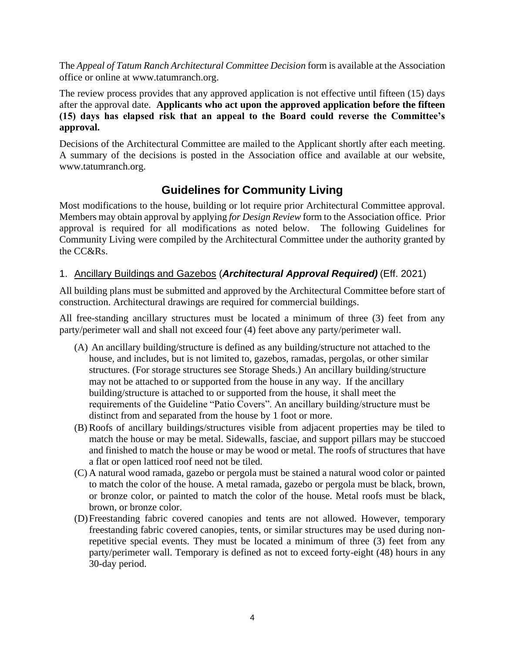The *Appeal of Tatum Ranch Architectural Committee Decision* form is available at the Association office or online at www.tatumranch.org.

The review process provides that any approved application is not effective until fifteen (15) days after the approval date. **Applicants who act upon the approved application before the fifteen (15) days has elapsed risk that an appeal to the Board could reverse the Committee's approval.**

Decisions of the Architectural Committee are mailed to the Applicant shortly after each meeting. A summary of the decisions is posted in the Association office and available at our website, www.tatumranch.org.

## **Guidelines for Community Living**

<span id="page-6-0"></span>Most modifications to the house, building or lot require prior Architectural Committee approval. Members may obtain approval by applying *for Design Review* form to the Association office. Prior approval is required for all modifications as noted below. The following Guidelines for Community Living were compiled by the Architectural Committee under the authority granted by the CC&Rs.

#### <span id="page-6-1"></span>1. Ancillary Buildings and Gazebos (*Architectural Approval Required)* (Eff. 2021)

All building plans must be submitted and approved by the Architectural Committee before start of construction. Architectural drawings are required for commercial buildings.

All free-standing ancillary structures must be located a minimum of three (3) feet from any party/perimeter wall and shall not exceed four (4) feet above any party/perimeter wall.

- (A) An ancillary building/structure is defined as any building/structure not attached to the house, and includes, but is not limited to, gazebos, ramadas, pergolas, or other similar structures. (For storage structures see Storage Sheds.) An ancillary building/structure may not be attached to or supported from the house in any way. If the ancillary building/structure is attached to or supported from the house, it shall meet the requirements of the Guideline "Patio Covers". An ancillary building/structure must be distinct from and separated from the house by 1 foot or more.
- (B)Roofs of ancillary buildings/structures visible from adjacent properties may be tiled to match the house or may be metal. Sidewalls, fasciae, and support pillars may be stuccoed and finished to match the house or may be wood or metal. The roofs of structures that have a flat or open latticed roof need not be tiled.
- (C) A natural wood ramada, gazebo or pergola must be stained a natural wood color or painted to match the color of the house. A metal ramada, gazebo or pergola must be black, brown, or bronze color, or painted to match the color of the house. Metal roofs must be black, brown, or bronze color.
- (D)Freestanding fabric covered canopies and tents are not allowed. However, temporary freestanding fabric covered canopies, tents, or similar structures may be used during nonrepetitive special events. They must be located a minimum of three (3) feet from any party/perimeter wall. Temporary is defined as not to exceed forty-eight (48) hours in any 30-day period.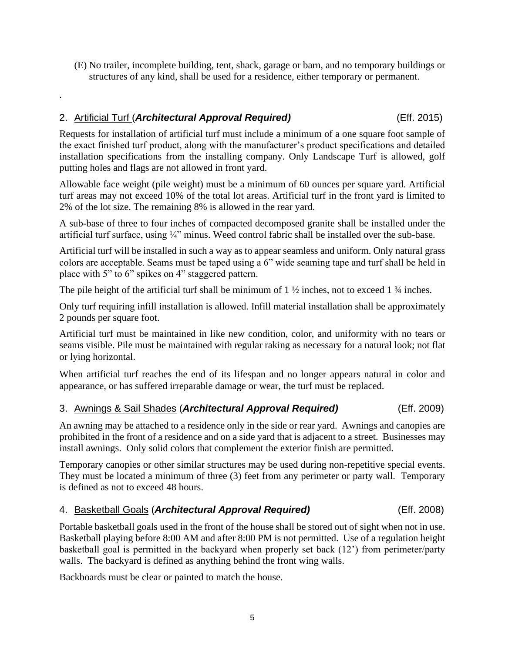(E) No trailer, incomplete building, tent, shack, garage or barn, and no temporary buildings or structures of any kind, shall be used for a residence, either temporary or permanent.

## <span id="page-7-0"></span>2. Artificial Turf (*Architectural Approval Required)* (Eff. 2015)

.

Requests for installation of artificial turf must include a minimum of a one square foot sample of the exact finished turf product, along with the manufacturer's product specifications and detailed installation specifications from the installing company. Only Landscape Turf is allowed, golf putting holes and flags are not allowed in front yard.

Allowable face weight (pile weight) must be a minimum of 60 ounces per square yard. Artificial turf areas may not exceed 10% of the total lot areas. Artificial turf in the front yard is limited to 2% of the lot size. The remaining 8% is allowed in the rear yard.

A sub-base of three to four inches of compacted decomposed granite shall be installed under the artificial turf surface, using ¼" minus. Weed control fabric shall be installed over the sub-base.

Artificial turf will be installed in such a way as to appear seamless and uniform. Only natural grass colors are acceptable. Seams must be taped using a 6" wide seaming tape and turf shall be held in place with 5" to 6" spikes on 4" staggered pattern.

The pile height of the artificial turf shall be minimum of  $1 \frac{1}{2}$  inches, not to exceed  $1 \frac{3}{4}$  inches.

Only turf requiring infill installation is allowed. Infill material installation shall be approximately 2 pounds per square foot.

Artificial turf must be maintained in like new condition, color, and uniformity with no tears or seams visible. Pile must be maintained with regular raking as necessary for a natural look; not flat or lying horizontal.

When artificial turf reaches the end of its lifespan and no longer appears natural in color and appearance, or has suffered irreparable damage or wear, the turf must be replaced.

#### <span id="page-7-1"></span>3. Awnings & Sail Shades (*Architectural Approval Required)* (Eff. 2009)

An awning may be attached to a residence only in the side or rear yard. Awnings and canopies are prohibited in the front of a residence and on a side yard that is adjacent to a street. Businesses may install awnings. Only solid colors that complement the exterior finish are permitted.

Temporary canopies or other similar structures may be used during non-repetitive special events. They must be located a minimum of three (3) feet from any perimeter or party wall. Temporary is defined as not to exceed 48 hours.

#### <span id="page-7-2"></span>4. Basketball Goals (*Architectural Approval Required)* (Eff. 2008)

Portable basketball goals used in the front of the house shall be stored out of sight when not in use. Basketball playing before 8:00 AM and after 8:00 PM is not permitted. Use of a regulation height basketball goal is permitted in the backyard when properly set back (12') from perimeter/party walls. The backyard is defined as anything behind the front wing walls.

Backboards must be clear or painted to match the house.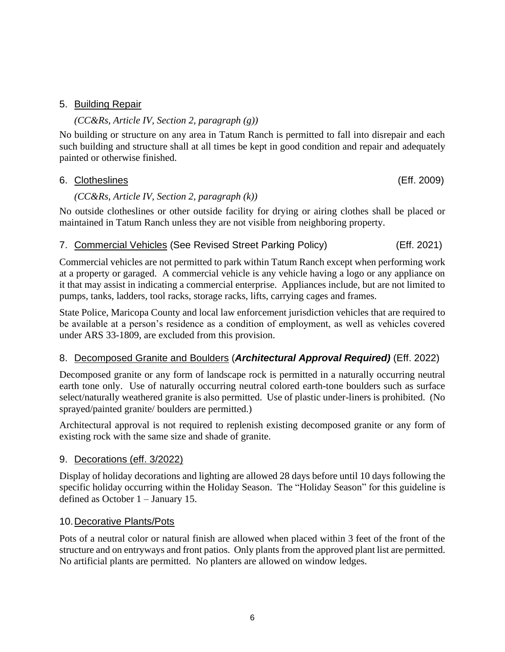#### <span id="page-8-0"></span>5. Building Repair

#### *(CC&Rs, Article IV, Section 2, paragraph (g))*

No building or structure on any area in Tatum Ranch is permitted to fall into disrepair and each such building and structure shall at all times be kept in good condition and repair and adequately painted or otherwise finished.

#### <span id="page-8-1"></span>6. Clotheslines (Eff. 2009)

#### *(CC&Rs, Article IV, Section 2, paragraph (k))*

No outside clotheslines or other outside facility for drying or airing clothes shall be placed or maintained in Tatum Ranch unless they are not visible from neighboring property.

#### <span id="page-8-2"></span>7. Commercial Vehicles (See Revised Street Parking Policy) (Eff. 2021)

Commercial vehicles are not permitted to park within Tatum Ranch except when performing work at a property or garaged. A commercial vehicle is any vehicle having a logo or any appliance on it that may assist in indicating a commercial enterprise. Appliances include, but are not limited to pumps, tanks, ladders, tool racks, storage racks, lifts, carrying cages and frames.

State Police, Maricopa County and local law enforcement jurisdiction vehicles that are required to be available at a person's residence as a condition of employment, as well as vehicles covered under ARS 33-1809, are excluded from this provision.

#### <span id="page-8-3"></span>8. Decomposed Granite and Boulders (*Architectural Approval Required)* (Eff. 2022)

Decomposed granite or any form of landscape rock is permitted in a naturally occurring neutral earth tone only. Use of naturally occurring neutral colored earth-tone boulders such as surface select/naturally weathered granite is also permitted. Use of plastic under-liners is prohibited. (No sprayed/painted granite/ boulders are permitted.)

Architectural approval is not required to replenish existing decomposed granite or any form of existing rock with the same size and shade of granite.

#### <span id="page-8-4"></span>9. Decorations (eff. 3/2022)

Display of holiday decorations and lighting are allowed 28 days before until 10 days following the specific holiday occurring within the Holiday Season. The "Holiday Season" for this guideline is defined as October 1 – January 15.

#### <span id="page-8-5"></span>10.Decorative Plants/Pots

Pots of a neutral color or natural finish are allowed when placed within 3 feet of the front of the structure and on entryways and front patios. Only plants from the approved plant list are permitted. No artificial plants are permitted. No planters are allowed on window ledges.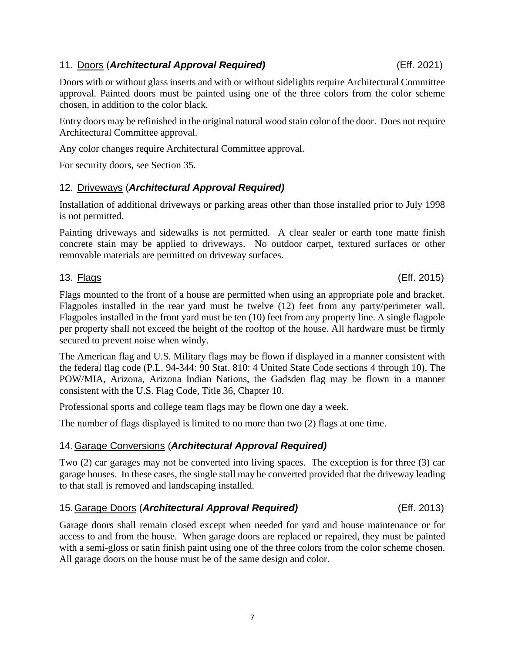### <span id="page-9-0"></span>11. Doors (*Architectural Approval Required)* (Eff. 2021)

Doors with or without glass inserts and with or without sidelights require Architectural Committee approval. Painted doors must be painted using one of the three colors from the color scheme chosen, in addition to the color black.

Entry doors may be refinished in the original natural wood stain color of the door. Does not require Architectural Committee approval.

Any color changes require Architectural Committee approval.

For security doors, see Section 35.

## <span id="page-9-1"></span>12. Driveways (*Architectural Approval Required)*

Installation of additional driveways or parking areas other than those installed prior to July 1998 is not permitted.

Painting driveways and sidewalks is not permitted. A clear sealer or earth tone matte finish concrete stain may be applied to driveways. No outdoor carpet, textured surfaces or other removable materials are permitted on driveway surfaces.

Flags mounted to the front of a house are permitted when using an appropriate pole and bracket. Flagpoles installed in the rear yard must be twelve (12) feet from any party/perimeter wall. Flagpoles installed in the front yard must be ten (10) feet from any property line. A single flagpole per property shall not exceed the height of the rooftop of the house. All hardware must be firmly secured to prevent noise when windy.

The American flag and U.S. Military flags may be flown if displayed in a manner consistent with the federal flag code (P.L. 94-344: 90 Stat. 810: 4 United State Code sections 4 through 10). The POW/MIA, Arizona, Arizona Indian Nations, the Gadsden flag may be flown in a manner consistent with the U.S. Flag Code, Title 36, Chapter 10.

Professional sports and college team flags may be flown one day a week.

The number of flags displayed is limited to no more than two (2) flags at one time.

## <span id="page-9-3"></span>14.Garage Conversions (*Architectural Approval Required)*

Two (2) car garages may not be converted into living spaces. The exception is for three (3) car garage houses. In these cases, the single stall may be converted provided that the driveway leading to that stall is removed and landscaping installed.

### <span id="page-9-4"></span>15.Garage Doors (*Architectural Approval Required)* (Eff. 2013)

Garage doors shall remain closed except when needed for yard and house maintenance or for access to and from the house. When garage doors are replaced or repaired, they must be painted with a semi-gloss or satin finish paint using one of the three colors from the color scheme chosen. All garage doors on the house must be of the same design and color.

<span id="page-9-2"></span>13. Flags (Eff. 2015)

7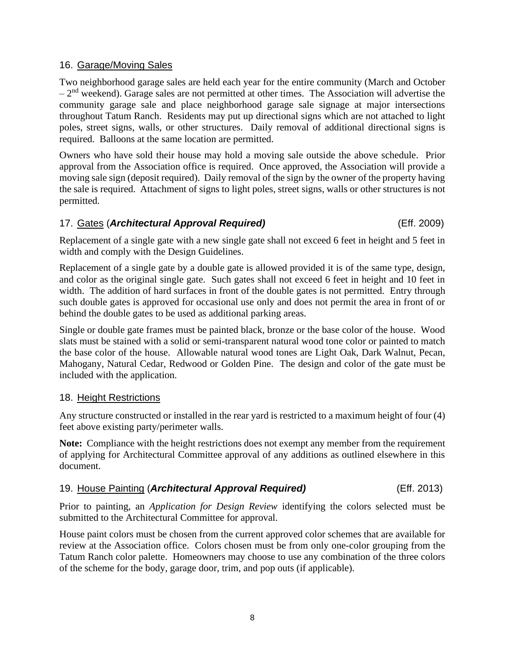#### <span id="page-10-0"></span>16. Garage/Moving Sales

Two neighborhood garage sales are held each year for the entire community (March and October  $-2<sup>nd</sup>$  weekend). Garage sales are not permitted at other times. The Association will advertise the community garage sale and place neighborhood garage sale signage at major intersections throughout Tatum Ranch. Residents may put up directional signs which are not attached to light poles, street signs, walls, or other structures. Daily removal of additional directional signs is required. Balloons at the same location are permitted.

Owners who have sold their house may hold a moving sale outside the above schedule. Prior approval from the Association office is required. Once approved, the Association will provide a moving sale sign (deposit required). Daily removal of the sign by the owner of the property having the sale is required. Attachment of signs to light poles, street signs, walls or other structures is not permitted.

#### <span id="page-10-1"></span>17. Gates (*Architectural Approval Required)* (Eff. 2009)

Replacement of a single gate with a new single gate shall not exceed 6 feet in height and 5 feet in width and comply with the Design Guidelines.

Replacement of a single gate by a double gate is allowed provided it is of the same type, design, and color as the original single gate. Such gates shall not exceed 6 feet in height and 10 feet in width. The addition of hard surfaces in front of the double gates is not permitted. Entry through such double gates is approved for occasional use only and does not permit the area in front of or behind the double gates to be used as additional parking areas.

Single or double gate frames must be painted black, bronze or the base color of the house. Wood slats must be stained with a solid or semi-transparent natural wood tone color or painted to match the base color of the house. Allowable natural wood tones are Light Oak, Dark Walnut, Pecan, Mahogany, Natural Cedar, Redwood or Golden Pine. The design and color of the gate must be included with the application.

#### <span id="page-10-2"></span>18. Height Restrictions

Any structure constructed or installed in the rear yard is restricted to a maximum height of four (4) feet above existing party/perimeter walls.

**Note:** Compliance with the height restrictions does not exempt any member from the requirement of applying for Architectural Committee approval of any additions as outlined elsewhere in this document.

### <span id="page-10-3"></span>19. House Painting (*Architectural Approval Required)* (Eff. 2013)

Prior to painting, an *Application for Design Review* identifying the colors selected must be submitted to the Architectural Committee for approval.

House paint colors must be chosen from the current approved color schemes that are available for review at the Association office. Colors chosen must be from only one-color grouping from the Tatum Ranch color palette. Homeowners may choose to use any combination of the three colors of the scheme for the body, garage door, trim, and pop outs (if applicable).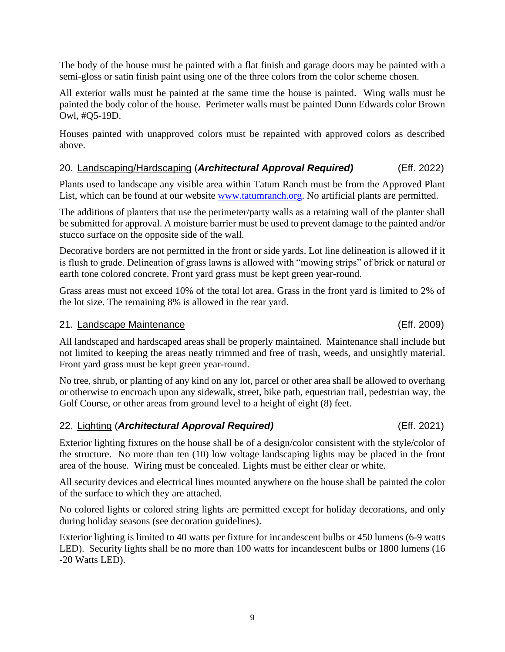The body of the house must be painted with a flat finish and garage doors may be painted with a semi-gloss or satin finish paint using one of the three colors from the color scheme chosen.

All exterior walls must be painted at the same time the house is painted. Wing walls must be painted the body color of the house. Perimeter walls must be painted Dunn Edwards color Brown Owl, #Q5-19D.

Houses painted with unapproved colors must be repainted with approved colors as described above.

## <span id="page-11-0"></span>20. Landscaping/Hardscaping (*Architectural Approval Required)* (Eff. 2022)

Plants used to landscape any visible area within Tatum Ranch must be from the Approved Plant List, which can be found at our website [www.tatumranch.org.](http://www.tatumranch.org/) No artificial plants are permitted.

The additions of planters that use the perimeter/party walls as a retaining wall of the planter shall be submitted for approval. A moisture barrier must be used to prevent damage to the painted and/or stucco surface on the opposite side of the wall.

Decorative borders are not permitted in the front or side yards. Lot line delineation is allowed if it is flush to grade. Delineation of grass lawns is allowed with "mowing strips" of brick or natural or earth tone colored concrete. Front yard grass must be kept green year-round.

Grass areas must not exceed 10% of the total lot area. Grass in the front yard is limited to 2% of the lot size. The remaining 8% is allowed in the rear yard.

#### <span id="page-11-1"></span>21. Landscape Maintenance (Eff. 2009)

All landscaped and hardscaped areas shall be properly maintained. Maintenance shall include but not limited to keeping the areas neatly trimmed and free of trash, weeds, and unsightly material. Front yard grass must be kept green year-round.

No tree, shrub, or planting of any kind on any lot, parcel or other area shall be allowed to overhang or otherwise to encroach upon any sidewalk, street, bike path, equestrian trail, pedestrian way, the Golf Course, or other areas from ground level to a height of eight  $(8)$  feet.

#### <span id="page-11-2"></span>22. Lighting (*Architectural Approval Required)* (Eff. 2021)

Exterior lighting fixtures on the house shall be of a design/color consistent with the style/color of the structure. No more than ten (10) low voltage landscaping lights may be placed in the front area of the house. Wiring must be concealed. Lights must be either clear or white.

All security devices and electrical lines mounted anywhere on the house shall be painted the color of the surface to which they are attached.

No colored lights or colored string lights are permitted except for holiday decorations, and only during holiday seasons (see decoration guidelines).

Exterior lighting is limited to 40 watts per fixture for incandescent bulbs or 450 lumens (6-9 watts LED). Security lights shall be no more than 100 watts for incandescent bulbs or 1800 lumens (16 -20 Watts LED).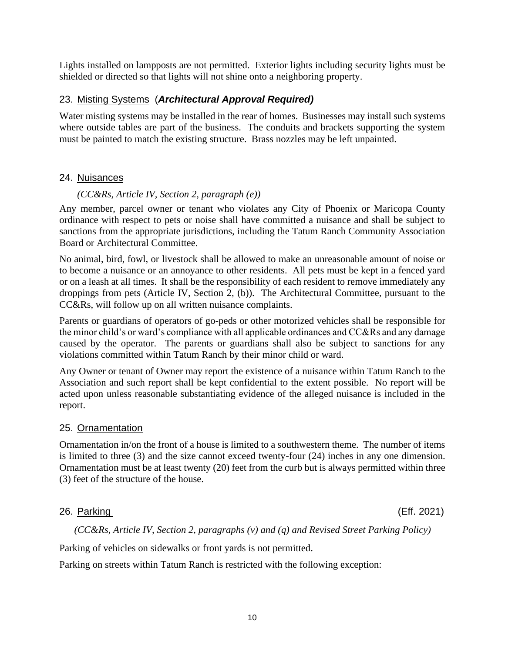Lights installed on lampposts are not permitted. Exterior lights including security lights must be shielded or directed so that lights will not shine onto a neighboring property.

#### <span id="page-12-0"></span>23. Misting Systems (*Architectural Approval Required)*

Water misting systems may be installed in the rear of homes. Businesses may install such systems where outside tables are part of the business. The conduits and brackets supporting the system must be painted to match the existing structure. Brass nozzles may be left unpainted.

#### <span id="page-12-1"></span>24. Nuisances

#### *(CC&Rs, Article IV, Section 2, paragraph (e))*

Any member, parcel owner or tenant who violates any City of Phoenix or Maricopa County ordinance with respect to pets or noise shall have committed a nuisance and shall be subject to sanctions from the appropriate jurisdictions, including the Tatum Ranch Community Association Board or Architectural Committee.

No animal, bird, fowl, or livestock shall be allowed to make an unreasonable amount of noise or to become a nuisance or an annoyance to other residents. All pets must be kept in a fenced yard or on a leash at all times. It shall be the responsibility of each resident to remove immediately any droppings from pets (Article IV, Section 2, (b)). The Architectural Committee, pursuant to the CC&Rs, will follow up on all written nuisance complaints.

Parents or guardians of operators of go-peds or other motorized vehicles shall be responsible for the minor child's or ward's compliance with all applicable ordinances and CC&Rs and any damage caused by the operator. The parents or guardians shall also be subject to sanctions for any violations committed within Tatum Ranch by their minor child or ward.

Any Owner or tenant of Owner may report the existence of a nuisance within Tatum Ranch to the Association and such report shall be kept confidential to the extent possible. No report will be acted upon unless reasonable substantiating evidence of the alleged nuisance is included in the report.

#### <span id="page-12-2"></span>25. Ornamentation

Ornamentation in/on the front of a house is limited to a southwestern theme. The number of items is limited to three (3) and the size cannot exceed twenty-four (24) inches in any one dimension. Ornamentation must be at least twenty (20) feet from the curb but is always permitted within three (3) feet of the structure of the house.

#### <span id="page-12-3"></span>26. Parking (Eff. 2021)

*(CC&Rs, Article IV, Section 2, paragraphs (v) and (q) and Revised Street Parking Policy)*

Parking of vehicles on sidewalks or front yards is not permitted.

Parking on streets within Tatum Ranch is restricted with the following exception: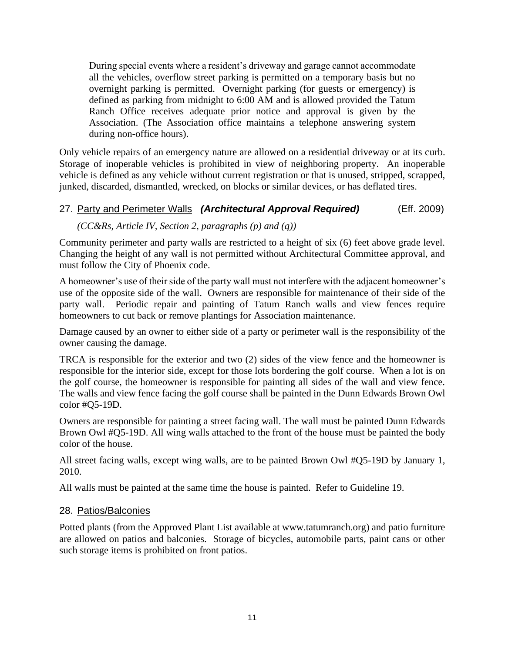During special events where a resident's driveway and garage cannot accommodate all the vehicles, overflow street parking is permitted on a temporary basis but no overnight parking is permitted. Overnight parking (for guests or emergency) is defined as parking from midnight to 6:00 AM and is allowed provided the Tatum Ranch Office receives adequate prior notice and approval is given by the Association. (The Association office maintains a telephone answering system during non-office hours).

Only vehicle repairs of an emergency nature are allowed on a residential driveway or at its curb. Storage of inoperable vehicles is prohibited in view of neighboring property. An inoperable vehicle is defined as any vehicle without current registration or that is unused, stripped, scrapped, junked, discarded, dismantled, wrecked, on blocks or similar devices, or has deflated tires.

#### <span id="page-13-0"></span>27. Party and Perimeter Walls *(Architectural Approval Required)* (Eff. 2009)

#### *(CC&Rs, Article IV, Section 2, paragraphs (p) and (q))*

Community perimeter and party walls are restricted to a height of six (6) feet above grade level. Changing the height of any wall is not permitted without Architectural Committee approval, and must follow the City of Phoenix code.

A homeowner's use of their side of the party wall must not interfere with the adjacent homeowner's use of the opposite side of the wall. Owners are responsible for maintenance of their side of the party wall. Periodic repair and painting of Tatum Ranch walls and view fences require homeowners to cut back or remove plantings for Association maintenance.

Damage caused by an owner to either side of a party or perimeter wall is the responsibility of the owner causing the damage.

TRCA is responsible for the exterior and two (2) sides of the view fence and the homeowner is responsible for the interior side, except for those lots bordering the golf course. When a lot is on the golf course, the homeowner is responsible for painting all sides of the wall and view fence. The walls and view fence facing the golf course shall be painted in the Dunn Edwards Brown Owl color #Q5-19D.

Owners are responsible for painting a street facing wall. The wall must be painted Dunn Edwards Brown Owl #Q5-19D. All wing walls attached to the front of the house must be painted the body color of the house.

All street facing walls, except wing walls, are to be painted Brown Owl #Q5-19D by January 1, 2010.

All walls must be painted at the same time the house is painted. Refer to Guideline 19.

#### <span id="page-13-1"></span>28. Patios/Balconies

Potted plants (from the Approved Plant List available at www.tatumranch.org) and patio furniture are allowed on patios and balconies. Storage of bicycles, automobile parts, paint cans or other such storage items is prohibited on front patios.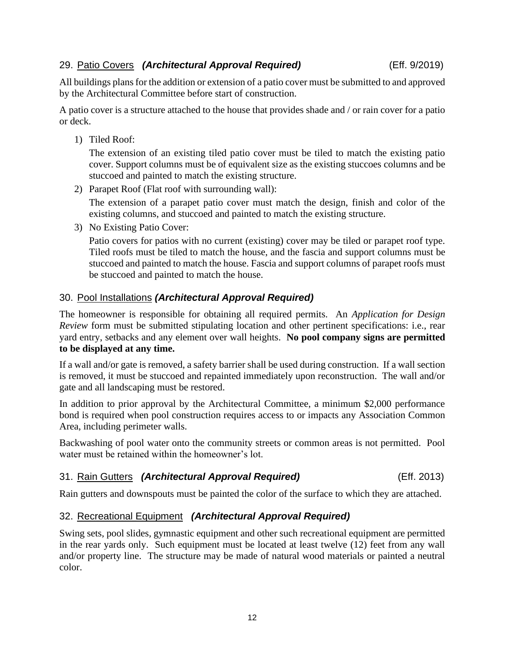#### <span id="page-14-0"></span>29. Patio Covers *(Architectural Approval Required)* (Eff. 9/2019)

All buildings plans for the addition or extension of a patio cover must be submitted to and approved by the Architectural Committee before start of construction.

A patio cover is a structure attached to the house that provides shade and / or rain cover for a patio or deck.

1) Tiled Roof:

The extension of an existing tiled patio cover must be tiled to match the existing patio cover. Support columns must be of equivalent size as the existing stuccoes columns and be stuccoed and painted to match the existing structure.

2) Parapet Roof (Flat roof with surrounding wall):

The extension of a parapet patio cover must match the design, finish and color of the existing columns, and stuccoed and painted to match the existing structure.

3) No Existing Patio Cover:

Patio covers for patios with no current (existing) cover may be tiled or parapet roof type. Tiled roofs must be tiled to match the house, and the fascia and support columns must be stuccoed and painted to match the house. Fascia and support columns of parapet roofs must be stuccoed and painted to match the house.

### <span id="page-14-1"></span>30. Pool Installations *(Architectural Approval Required)*

The homeowner is responsible for obtaining all required permits. An *Application for Design Review* form must be submitted stipulating location and other pertinent specifications: i.e., rear yard entry, setbacks and any element over wall heights. **No pool company signs are permitted to be displayed at any time.**

If a wall and/or gate is removed, a safety barrier shall be used during construction. If a wall section is removed, it must be stuccoed and repainted immediately upon reconstruction. The wall and/or gate and all landscaping must be restored.

In addition to prior approval by the Architectural Committee, a minimum \$2,000 performance bond is required when pool construction requires access to or impacts any Association Common Area, including perimeter walls.

Backwashing of pool water onto the community streets or common areas is not permitted. Pool water must be retained within the homeowner's lot.

#### <span id="page-14-2"></span>31. Rain Gutters *(Architectural Approval Required)* (Eff. 2013)

Rain gutters and downspouts must be painted the color of the surface to which they are attached.

### <span id="page-14-3"></span>32. Recreational Equipment *(Architectural Approval Required)*

Swing sets, pool slides, gymnastic equipment and other such recreational equipment are permitted in the rear yards only. Such equipment must be located at least twelve (12) feet from any wall and/or property line. The structure may be made of natural wood materials or painted a neutral color.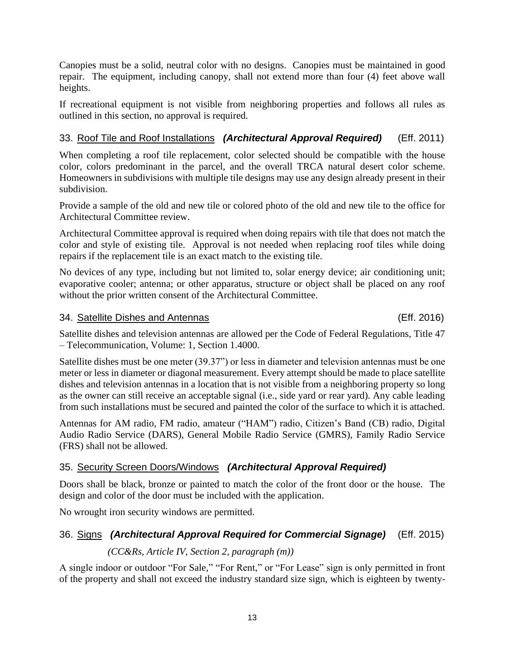Canopies must be a solid, neutral color with no designs. Canopies must be maintained in good repair. The equipment, including canopy, shall not extend more than four (4) feet above wall heights.

If recreational equipment is not visible from neighboring properties and follows all rules as outlined in this section, no approval is required.

## <span id="page-15-0"></span>33. Roof Tile and Roof Installations *(Architectural Approval Required)* (Eff. 2011)

When completing a roof tile replacement, color selected should be compatible with the house color, colors predominant in the parcel, and the overall TRCA natural desert color scheme. Homeowners in subdivisions with multiple tile designs may use any design already present in their subdivision.

Provide a sample of the old and new tile or colored photo of the old and new tile to the office for Architectural Committee review.

Architectural Committee approval is required when doing repairs with tile that does not match the color and style of existing tile. Approval is not needed when replacing roof tiles while doing repairs if the replacement tile is an exact match to the existing tile.

No devices of any type, including but not limited to, solar energy device; air conditioning unit; evaporative cooler; antenna; or other apparatus, structure or object shall be placed on any roof without the prior written consent of the Architectural Committee.

#### <span id="page-15-1"></span>34. Satellite Dishes and Antennas (Eff. 2016)

Satellite dishes and television antennas are allowed per the Code of Federal Regulations, Title 47 – Telecommunication, Volume: 1, Section 1.4000.

Satellite dishes must be one meter (39.37") or less in diameter and television antennas must be one meter or less in diameter or diagonal measurement. Every attempt should be made to place satellite dishes and television antennas in a location that is not visible from a neighboring property so long as the owner can still receive an acceptable signal (i.e., side yard or rear yard). Any cable leading from such installations must be secured and painted the color of the surface to which it is attached.

Antennas for AM radio, FM radio, amateur ("HAM") radio, Citizen's Band (CB) radio, Digital Audio Radio Service (DARS), General Mobile Radio Service (GMRS), Family Radio Service (FRS) shall not be allowed.

### <span id="page-15-2"></span>35. Security Screen Doors/Windows *(Architectural Approval Required)*

Doors shall be black, bronze or painted to match the color of the front door or the house. The design and color of the door must be included with the application.

No wrought iron security windows are permitted.

## <span id="page-15-3"></span>36. Signs *(Architectural Approval Required for Commercial Signage)* (Eff. 2015)

#### *(CC&Rs, Article IV, Section 2, paragraph (m))*

A single indoor or outdoor "For Sale," "For Rent," or "For Lease" sign is only permitted in front of the property and shall not exceed the industry standard size sign, which is eighteen by twenty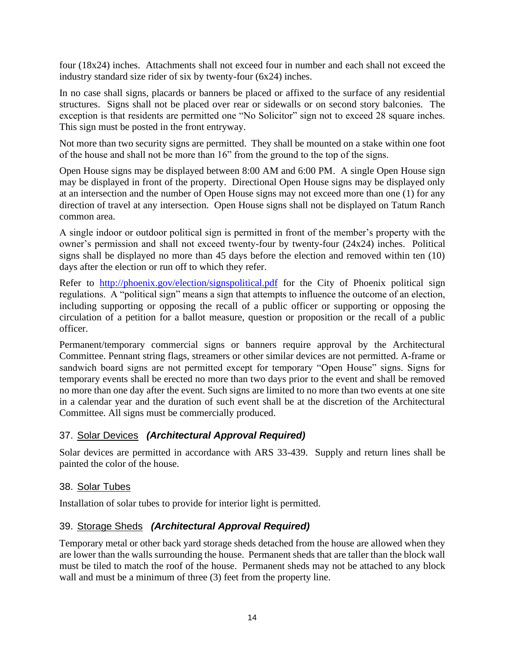four (18x24) inches. Attachments shall not exceed four in number and each shall not exceed the industry standard size rider of six by twenty-four (6x24) inches.

In no case shall signs, placards or banners be placed or affixed to the surface of any residential structures. Signs shall not be placed over rear or sidewalls or on second story balconies. The exception is that residents are permitted one "No Solicitor" sign not to exceed 28 square inches. This sign must be posted in the front entryway.

Not more than two security signs are permitted. They shall be mounted on a stake within one foot of the house and shall not be more than 16" from the ground to the top of the signs.

Open House signs may be displayed between 8:00 AM and 6:00 PM. A single Open House sign may be displayed in front of the property. Directional Open House signs may be displayed only at an intersection and the number of Open House signs may not exceed more than one (1) for any direction of travel at any intersection. Open House signs shall not be displayed on Tatum Ranch common area.

A single indoor or outdoor political sign is permitted in front of the member's property with the owner's permission and shall not exceed twenty-four by twenty-four (24x24) inches. Political signs shall be displayed no more than 45 days before the election and removed within ten (10) days after the election or run off to which they refer.

Refer to <http://phoenix.gov/election/signspolitical.pdf> for the City of Phoenix political sign regulations. A "political sign" means a sign that attempts to influence the outcome of an election, including supporting or opposing the recall of a public officer or supporting or opposing the circulation of a petition for a ballot measure, question or proposition or the recall of a public officer.

Permanent/temporary commercial signs or banners require approval by the Architectural Committee. Pennant string flags, streamers or other similar devices are not permitted. A-frame or sandwich board signs are not permitted except for temporary "Open House" signs. Signs for temporary events shall be erected no more than two days prior to the event and shall be removed no more than one day after the event. Such signs are limited to no more than two events at one site in a calendar year and the duration of such event shall be at the discretion of the Architectural Committee. All signs must be commercially produced.

### <span id="page-16-0"></span>37. Solar Devices *(Architectural Approval Required)*

Solar devices are permitted in accordance with ARS 33-439. Supply and return lines shall be painted the color of the house.

### <span id="page-16-1"></span>38. Solar Tubes

Installation of solar tubes to provide for interior light is permitted.

### <span id="page-16-2"></span>39. Storage Sheds *(Architectural Approval Required)*

Temporary metal or other back yard storage sheds detached from the house are allowed when they are lower than the walls surrounding the house. Permanent sheds that are taller than the block wall must be tiled to match the roof of the house. Permanent sheds may not be attached to any block wall and must be a minimum of three (3) feet from the property line.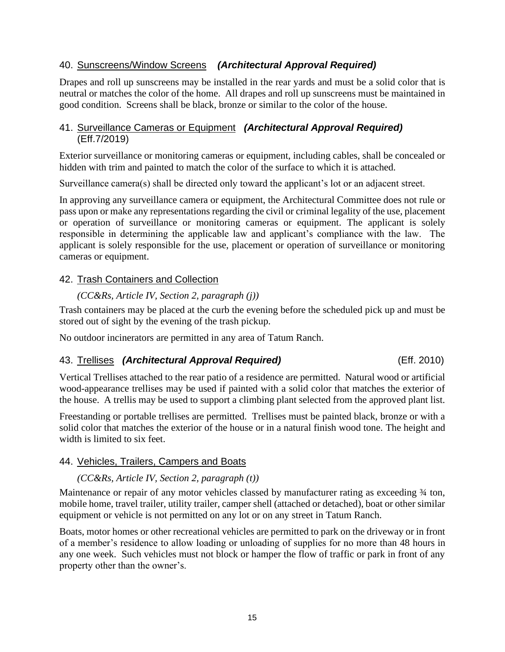#### <span id="page-17-0"></span>40. Sunscreens/Window Screens *(Architectural Approval Required)*

Drapes and roll up sunscreens may be installed in the rear yards and must be a solid color that is neutral or matches the color of the home. All drapes and roll up sunscreens must be maintained in good condition. Screens shall be black, bronze or similar to the color of the house.

#### <span id="page-17-1"></span>41. Surveillance Cameras or Equipment *(Architectural Approval Required)* (Eff.7/2019)

Exterior surveillance or monitoring cameras or equipment, including cables, shall be concealed or hidden with trim and painted to match the color of the surface to which it is attached.

Surveillance camera(s) shall be directed only toward the applicant's lot or an adjacent street.

In approving any surveillance camera or equipment, the Architectural Committee does not rule or pass upon or make any representations regarding the civil or criminal legality of the use, placement or operation of surveillance or monitoring cameras or equipment. The applicant is solely responsible in determining the applicable law and applicant's compliance with the law. The applicant is solely responsible for the use, placement or operation of surveillance or monitoring cameras or equipment.

#### <span id="page-17-2"></span>42. Trash Containers and Collection

#### *(CC&Rs, Article IV, Section 2, paragraph (j))*

Trash containers may be placed at the curb the evening before the scheduled pick up and must be stored out of sight by the evening of the trash pickup.

No outdoor incinerators are permitted in any area of Tatum Ranch.

#### <span id="page-17-3"></span>43. Trellises *(Architectural Approval Required)* (Eff. 2010)

Vertical Trellises attached to the rear patio of a residence are permitted. Natural wood or artificial wood-appearance trellises may be used if painted with a solid color that matches the exterior of the house. A trellis may be used to support a climbing plant selected from the approved plant list.

Freestanding or portable trellises are permitted. Trellises must be painted black, bronze or with a solid color that matches the exterior of the house or in a natural finish wood tone. The height and width is limited to six feet.

#### <span id="page-17-4"></span>44. Vehicles, Trailers, Campers and Boats

#### *(CC&Rs, Article IV, Section 2, paragraph (t))*

Maintenance or repair of any motor vehicles classed by manufacturer rating as exceeding  $\frac{3}{4}$  ton, mobile home, travel trailer, utility trailer, camper shell (attached or detached), boat or other similar equipment or vehicle is not permitted on any lot or on any street in Tatum Ranch.

Boats, motor homes or other recreational vehicles are permitted to park on the driveway or in front of a member's residence to allow loading or unloading of supplies for no more than 48 hours in any one week. Such vehicles must not block or hamper the flow of traffic or park in front of any property other than the owner's.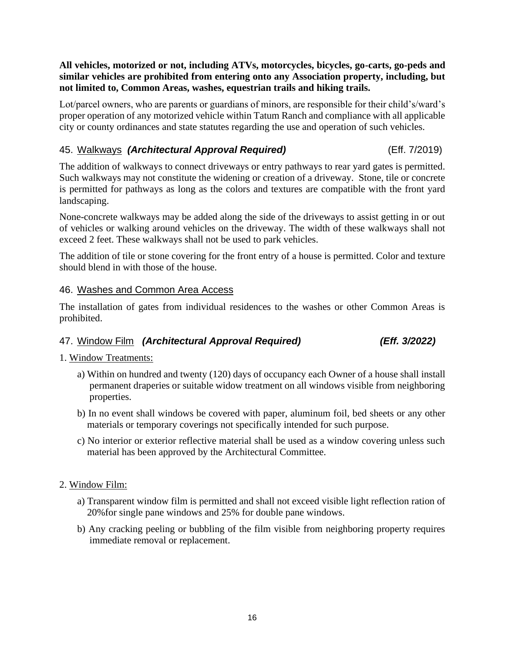#### **All vehicles, motorized or not, including ATVs, motorcycles, bicycles, go-carts, go-peds and similar vehicles are prohibited from entering onto any Association property, including, but not limited to, Common Areas, washes, equestrian trails and hiking trails.**

Lot/parcel owners, who are parents or guardians of minors, are responsible for their child's/ward's proper operation of any motorized vehicle within Tatum Ranch and compliance with all applicable city or county ordinances and state statutes regarding the use and operation of such vehicles.

#### <span id="page-18-0"></span>45. Walkways *(Architectural Approval Required)* (Eff. 7/2019)

The addition of walkways to connect driveways or entry pathways to rear yard gates is permitted. Such walkways may not constitute the widening or creation of a driveway. Stone, tile or concrete is permitted for pathways as long as the colors and textures are compatible with the front yard landscaping.

None-concrete walkways may be added along the side of the driveways to assist getting in or out of vehicles or walking around vehicles on the driveway. The width of these walkways shall not exceed 2 feet. These walkways shall not be used to park vehicles.

The addition of tile or stone covering for the front entry of a house is permitted. Color and texture should blend in with those of the house.

#### <span id="page-18-1"></span>46. Washes and Common Area Access

The installation of gates from individual residences to the washes or other Common Areas is prohibited.

### <span id="page-18-2"></span>47. Window Film *(Architectural Approval Required) (Eff. 3/2022)*

#### 1. Window Treatments:

- a) Within on hundred and twenty (120) days of occupancy each Owner of a house shall install permanent draperies or suitable widow treatment on all windows visible from neighboring properties.
- b) In no event shall windows be covered with paper, aluminum foil, bed sheets or any other materials or temporary coverings not specifically intended for such purpose.
- c) No interior or exterior reflective material shall be used as a window covering unless such material has been approved by the Architectural Committee.

#### 2. Window Film:

- a) Transparent window film is permitted and shall not exceed visible light reflection ration of 20%for single pane windows and 25% for double pane windows.
- b) Any cracking peeling or bubbling of the film visible from neighboring property requires immediate removal or replacement.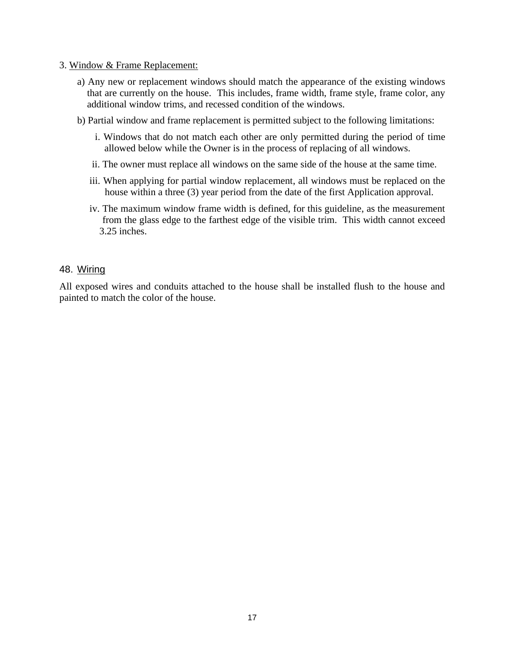#### 3. Window & Frame Replacement:

- a) Any new or replacement windows should match the appearance of the existing windows that are currently on the house. This includes, frame width, frame style, frame color, any additional window trims, and recessed condition of the windows.
- b) Partial window and frame replacement is permitted subject to the following limitations:
	- i. Windows that do not match each other are only permitted during the period of time allowed below while the Owner is in the process of replacing of all windows.
	- ii. The owner must replace all windows on the same side of the house at the same time.
	- iii. When applying for partial window replacement, all windows must be replaced on the house within a three (3) year period from the date of the first Application approval.
	- iv. The maximum window frame width is defined, for this guideline, as the measurement from the glass edge to the farthest edge of the visible trim. This width cannot exceed 3.25 inches.

#### <span id="page-19-0"></span>48. Wiring

All exposed wires and conduits attached to the house shall be installed flush to the house and painted to match the color of the house.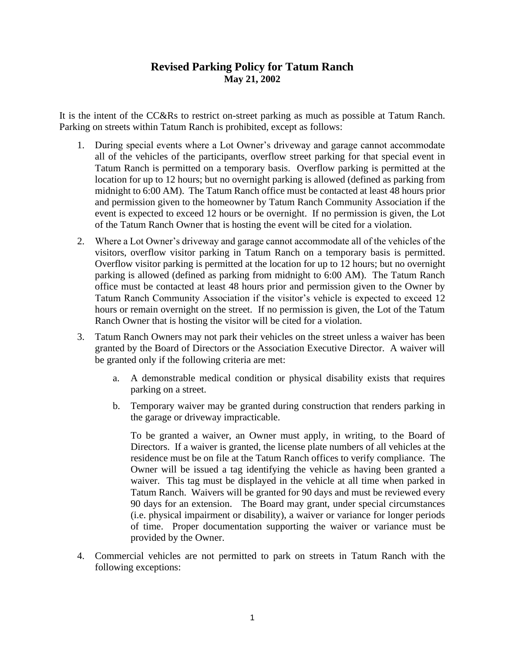## **Revised Parking Policy for Tatum Ranch May 21, 2002**

It is the intent of the CC&Rs to restrict on-street parking as much as possible at Tatum Ranch. Parking on streets within Tatum Ranch is prohibited, except as follows:

- 1. During special events where a Lot Owner's driveway and garage cannot accommodate all of the vehicles of the participants, overflow street parking for that special event in Tatum Ranch is permitted on a temporary basis. Overflow parking is permitted at the location for up to 12 hours; but no overnight parking is allowed (defined as parking from midnight to 6:00 AM). The Tatum Ranch office must be contacted at least 48 hours prior and permission given to the homeowner by Tatum Ranch Community Association if the event is expected to exceed 12 hours or be overnight. If no permission is given, the Lot of the Tatum Ranch Owner that is hosting the event will be cited for a violation.
- 2. Where a Lot Owner's driveway and garage cannot accommodate all of the vehicles of the visitors, overflow visitor parking in Tatum Ranch on a temporary basis is permitted. Overflow visitor parking is permitted at the location for up to 12 hours; but no overnight parking is allowed (defined as parking from midnight to 6:00 AM). The Tatum Ranch office must be contacted at least 48 hours prior and permission given to the Owner by Tatum Ranch Community Association if the visitor's vehicle is expected to exceed 12 hours or remain overnight on the street. If no permission is given, the Lot of the Tatum Ranch Owner that is hosting the visitor will be cited for a violation.
- 3. Tatum Ranch Owners may not park their vehicles on the street unless a waiver has been granted by the Board of Directors or the Association Executive Director. A waiver will be granted only if the following criteria are met:
	- a. A demonstrable medical condition or physical disability exists that requires parking on a street.
	- b. Temporary waiver may be granted during construction that renders parking in the garage or driveway impracticable.

To be granted a waiver, an Owner must apply, in writing, to the Board of Directors. If a waiver is granted, the license plate numbers of all vehicles at the residence must be on file at the Tatum Ranch offices to verify compliance. The Owner will be issued a tag identifying the vehicle as having been granted a waiver. This tag must be displayed in the vehicle at all time when parked in Tatum Ranch. Waivers will be granted for 90 days and must be reviewed every 90 days for an extension. The Board may grant, under special circumstances (i.e. physical impairment or disability), a waiver or variance for longer periods of time. Proper documentation supporting the waiver or variance must be provided by the Owner.

4. Commercial vehicles are not permitted to park on streets in Tatum Ranch with the following exceptions: